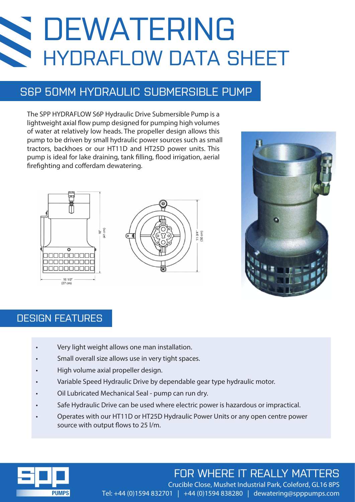## **Sold** DEWATERING HYDRAFLOW DATA SHEET

### S6P 50MM HYDRAULIC SUBMERSIBLE PUMP

The SPP HYDRAFLOW S6P Hydraulic Drive Submersible Pump is a lightweight axial flow pump designed for pumping high volumes of water at relatively low heads. The propeller design allows this pump to be driven by small hydraulic power sources such as small tractors, backhoes or our HT11D and HT25D power units. This pump is ideal for lake draining, tank filling, flood irrigation, aerial firefighting and cofferdam dewatering.







### DESIGN FEATURES

- Very light weight allows one man installation.
- Small overall size allows use in very tight spaces.
- High volume axial propeller design.
- Variable Speed Hydraulic Drive by dependable gear type hydraulic motor.
- Oil Lubricated Mechanical Seal pump can run dry.
- Safe Hydraulic Drive can be used where electric power is hazardous or impractical.
- Operates with our HT11D or HT25D Hydraulic Power Units or any open centre power source with output flows to 25 l/m.



### FOR WHERE IT REALLY MATTERS

Crucible Close, Mushet Industrial Park, Coleford, GL16 8PS Tel: +44 (0)1594 832701 | +44 (0)1594 838280 | dewatering@spppumps.com